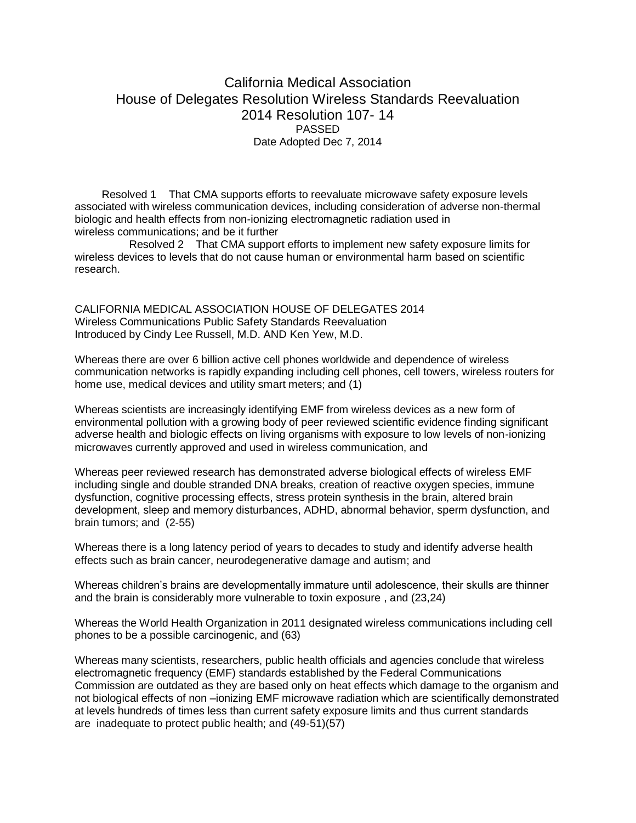## California Medical Association House of Delegates Resolution Wireless Standards Reevaluation 2014 Resolution 107- 14 PASSED Date Adopted Dec 7, 2014

 Resolved 1 That CMA supports efforts to reevaluate microwave safety exposure levels associated with wireless communication devices, including consideration of adverse non-thermal biologic and health effects from non-ionizing electromagnetic radiation used in wireless communications; and be it further

 Resolved 2 That CMA support efforts to implement new safety exposure limits for wireless devices to levels that do not cause human or environmental harm based on scientific research.

CALIFORNIA MEDICAL ASSOCIATION HOUSE OF DELEGATES 2014 Wireless Communications Public Safety Standards Reevaluation Introduced by Cindy Lee Russell, M.D. AND Ken Yew, M.D.

Whereas there are over 6 billion active cell phones worldwide and dependence of wireless communication networks is rapidly expanding including cell phones, cell towers, wireless routers for home use, medical devices and utility smart meters; and (1)

Whereas scientists are increasingly identifying EMF from wireless devices as a new form of environmental pollution with a growing body of peer reviewed scientific evidence finding significant adverse health and biologic effects on living organisms with exposure to low levels of non-ionizing microwaves currently approved and used in wireless communication, and

Whereas peer reviewed research has demonstrated adverse biological effects of wireless EMF including single and double stranded DNA breaks, creation of reactive oxygen species, immune dysfunction, cognitive processing effects, stress protein synthesis in the brain, altered brain development, sleep and memory disturbances, ADHD, abnormal behavior, sperm dysfunction, and brain tumors; and (2-55)

Whereas there is a long latency period of years to decades to study and identify adverse health effects such as brain cancer, neurodegenerative damage and autism; and

Whereas children's brains are developmentally immature until adolescence, their skulls are thinner and the brain is considerably more vulnerable to toxin exposure , and (23,24)

Whereas the World Health Organization in 2011 designated wireless communications including cell phones to be a possible carcinogenic, and (63)

Whereas many scientists, researchers, public health officials and agencies conclude that wireless electromagnetic frequency (EMF) standards established by the Federal Communications Commission are outdated as they are based only on heat effects which damage to the organism and not biological effects of non –ionizing EMF microwave radiation which are scientifically demonstrated at levels hundreds of times less than current safety exposure limits and thus current standards are inadequate to protect public health; and (49-51)(57)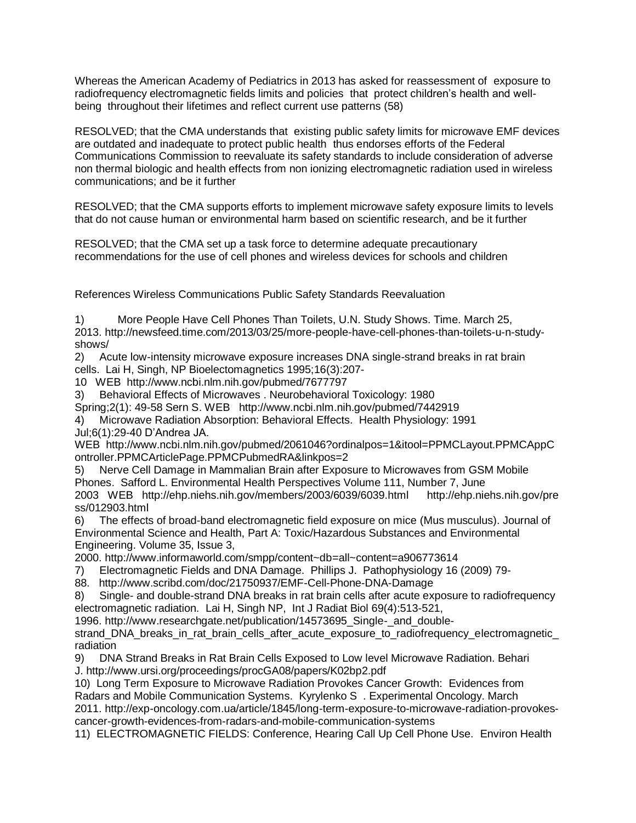Whereas the American Academy of Pediatrics in 2013 has asked for reassessment of exposure to radiofrequency electromagnetic fields limits and policies that protect children's health and wellbeing throughout their lifetimes and reflect current use patterns (58)

RESOLVED; that the CMA understands that existing public safety limits for microwave EMF devices are outdated and inadequate to protect public health thus endorses efforts of the Federal Communications Commission to reevaluate its safety standards to include consideration of adverse non thermal biologic and health effects from non ionizing electromagnetic radiation used in wireless communications; and be it further

RESOLVED; that the CMA supports efforts to implement microwave safety exposure limits to levels that do not cause human or environmental harm based on scientific research, and be it further

RESOLVED; that the CMA set up a task force to determine adequate precautionary recommendations for the use of cell phones and wireless devices for schools and children

References Wireless Communications Public Safety Standards Reevaluation

1) More People Have Cell Phones Than Toilets, U.N. Study Shows. Time. March 25, 2013. http://newsfeed.time.com/2013/03/25/more-people-have-cell-phones-than-toilets-u-n-studyshows/

2) Acute low-intensity microwave exposure increases DNA single-strand breaks in rat brain cells. Lai H, Singh, NP Bioelectomagnetics 1995;16(3):207-

10 WEB http://www.ncbi.nlm.nih.gov/pubmed/7677797

3) Behavioral Effects of Microwaves . Neurobehavioral Toxicology: 1980

Spring;2(1): 49-58 Sern S. WEB http://www.ncbi.nlm.nih.gov/pubmed/7442919

4) Microwave Radiation Absorption: Behavioral Effects. Health Physiology: 1991 Jul;6(1):29-40 D'Andrea JA.

WEB http://www.ncbi.nlm.nih.gov/pubmed/2061046?ordinalpos=1&itool=PPMCLayout.PPMCAppC ontroller.PPMCArticlePage.PPMCPubmedRA&linkpos=2

5) Nerve Cell Damage in Mammalian Brain after Exposure to Microwaves from GSM Mobile Phones. Safford L. Environmental Health Perspectives Volume 111, Number 7, June 2003 WEB http://ehp.niehs.nih.gov/members/2003/6039/6039.html http://ehp.niehs.nih.gov/pre ss/012903.html

6) The effects of broad-band electromagnetic field exposure on mice (Mus musculus). Journal of Environmental Science and Health, Part A: Toxic/Hazardous Substances and Environmental Engineering. Volume 35, Issue 3,

2000. http://www.informaworld.com/smpp/content~db=all~content=a906773614

7) Electromagnetic Fields and DNA Damage. Phillips J. Pathophysiology 16 (2009) 79-

88. http://www.scribd.com/doc/21750937/EMF-Cell-Phone-DNA-Damage

8) Single- and double-strand DNA breaks in rat brain cells after acute exposure to radiofrequency electromagnetic radiation. Lai H, Singh NP, Int J Radiat Biol 69(4):513-521,

1996. http://www.researchgate.net/publication/14573695\_Single-\_and\_double-

strand\_DNA\_breaks\_in\_rat\_brain\_cells\_after\_acute\_exposure\_to\_radiofrequency\_electromagnetic\_ radiation

9) DNA Strand Breaks in Rat Brain Cells Exposed to Low level Microwave Radiation. Behari J. http://www.ursi.org/proceedings/procGA08/papers/K02bp2.pdf

10) Long Term Exposure to Microwave Radiation Provokes Cancer Growth: Evidences from Radars and Mobile Communication Systems. Kyrylenko S . Experimental Oncology. March

2011. http://exp-oncology.com.ua/article/1845/long-term-exposure-to-microwave-radiation-provokescancer-growth-evidences-from-radars-and-mobile-communication-systems

11) ELECTROMAGNETIC FIELDS: Conference, Hearing Call Up Cell Phone Use. Environ Health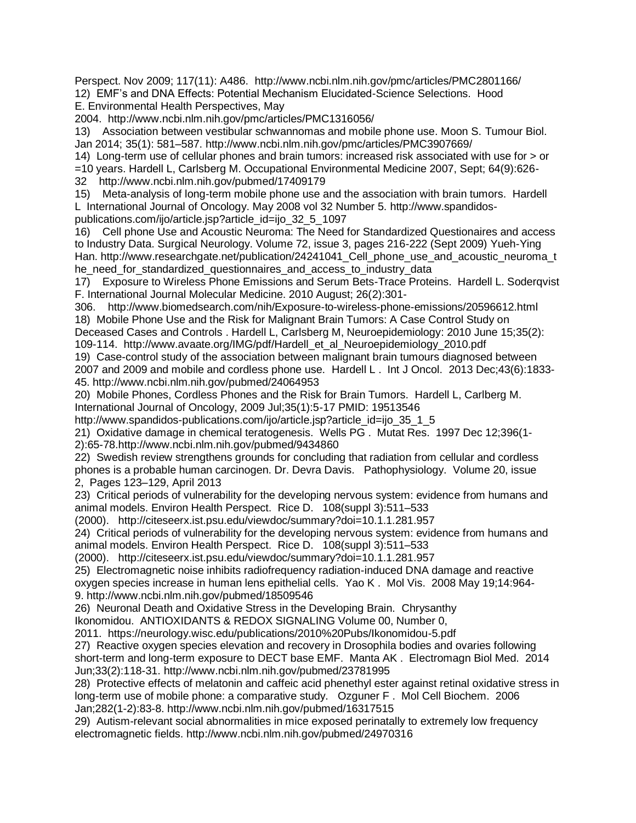Perspect. Nov 2009; 117(11): A486. http://www.ncbi.nlm.nih.gov/pmc/articles/PMC2801166/ 12) EMF's and DNA Effects: Potential Mechanism Elucidated-Science Selections. Hood E. Environmental Health Perspectives, May

2004. http://www.ncbi.nlm.nih.gov/pmc/articles/PMC1316056/

13) Association between vestibular schwannomas and mobile phone use. Moon S. Tumour Biol. Jan 2014; 35(1): 581–587. http://www.ncbi.nlm.nih.gov/pmc/articles/PMC3907669/

14) Long-term use of cellular phones and brain tumors: increased risk associated with use for > or

=10 years. Hardell L, Carlsberg M. Occupational Environmental Medicine 2007, Sept; 64(9):626-

32 http://www.ncbi.nlm.nih.gov/pubmed/17409179

15) Meta-analysis of long-term mobile phone use and the association with brain tumors. Hardell L International Journal of Oncology. May 2008 vol 32 Number 5. http://www.spandidospublications.com/ijo/article.jsp?article\_id=ijo\_32\_5\_1097

16) Cell phone Use and Acoustic Neuroma: The Need for Standardized Questionaires and access to Industry Data. Surgical Neurology. Volume 72, issue 3, pages 216-222 (Sept 2009) Yueh-Ying Han. http://www.researchgate.net/publication/24241041\_Cell\_phone\_use\_and\_acoustic\_neuroma\_t he\_need\_for\_standardized\_questionnaires\_and\_access\_to\_industry\_data

17) Exposure to Wireless Phone Emissions and Serum Bets-Trace Proteins. Hardell L. Soderqvist F. International Journal Molecular Medicine. 2010 August; 26(2):301-

306. http://www.biomedsearch.com/nih/Exposure-to-wireless-phone-emissions/20596612.html 18) Mobile Phone Use and the Risk for Malignant Brain Tumors: A Case Control Study on

Deceased Cases and Controls . Hardell L, Carlsberg M, Neuroepidemiology: 2010 June 15;35(2): 109-114. http://www.avaate.org/IMG/pdf/Hardell\_et\_al\_Neuroepidemiology\_2010.pdf

19) Case-control study of the association between malignant brain tumours diagnosed between 2007 and 2009 and mobile and cordless phone use. Hardell L . Int J Oncol. 2013 Dec;43(6):1833- 45. http://www.ncbi.nlm.nih.gov/pubmed/24064953

20) Mobile Phones, Cordless Phones and the Risk for Brain Tumors. Hardell L, Carlberg M. International Journal of Oncology, 2009 Jul;35(1):5-17 PMID: 19513546

http://www.spandidos-publications.com/ijo/article.jsp?article\_id=ijo\_35\_1\_5

21) Oxidative damage in chemical teratogenesis. Wells PG . Mutat Res. 1997 Dec 12;396(1- 2):65-78.http://www.ncbi.nlm.nih.gov/pubmed/9434860

22) Swedish review strengthens grounds for concluding that radiation from cellular and cordless phones is a probable human carcinogen. Dr. Devra Davis. Pathophysiology. Volume 20, issue 2, Pages 123–129, April 2013

23) Critical periods of vulnerability for the developing nervous system: evidence from humans and animal models. Environ Health Perspect. Rice D. 108(suppl 3):511–533

(2000). http://citeseerx.ist.psu.edu/viewdoc/summary?doi=10.1.1.281.957

24) Critical periods of vulnerability for the developing nervous system: evidence from humans and animal models. Environ Health Perspect. Rice D. 108(suppl 3):511–533

(2000). http://citeseerx.ist.psu.edu/viewdoc/summary?doi=10.1.1.281.957

25) Electromagnetic noise inhibits radiofrequency radiation-induced DNA damage and reactive oxygen species increase in human lens epithelial cells. Yao K . Mol Vis. 2008 May 19;14:964- 9. http://www.ncbi.nlm.nih.gov/pubmed/18509546

26) Neuronal Death and Oxidative Stress in the Developing Brain. Chrysanthy

Ikonomidou. ANTIOXIDANTS & REDOX SIGNALING Volume 00, Number 0,

2011. https://neurology.wisc.edu/publications/2010%20Pubs/Ikonomidou-5.pdf

27) Reactive oxygen species elevation and recovery in Drosophila bodies and ovaries following short-term and long-term exposure to DECT base EMF. Manta AK . Electromagn Biol Med. 2014 Jun;33(2):118-31. http://www.ncbi.nlm.nih.gov/pubmed/23781995

28) Protective effects of melatonin and caffeic acid phenethyl ester against retinal oxidative stress in long-term use of mobile phone: a comparative study. Ozguner F . Mol Cell Biochem. 2006 Jan;282(1-2):83-8. http://www.ncbi.nlm.nih.gov/pubmed/16317515

29) Autism-relevant social abnormalities in mice exposed perinatally to extremely low frequency electromagnetic fields. http://www.ncbi.nlm.nih.gov/pubmed/24970316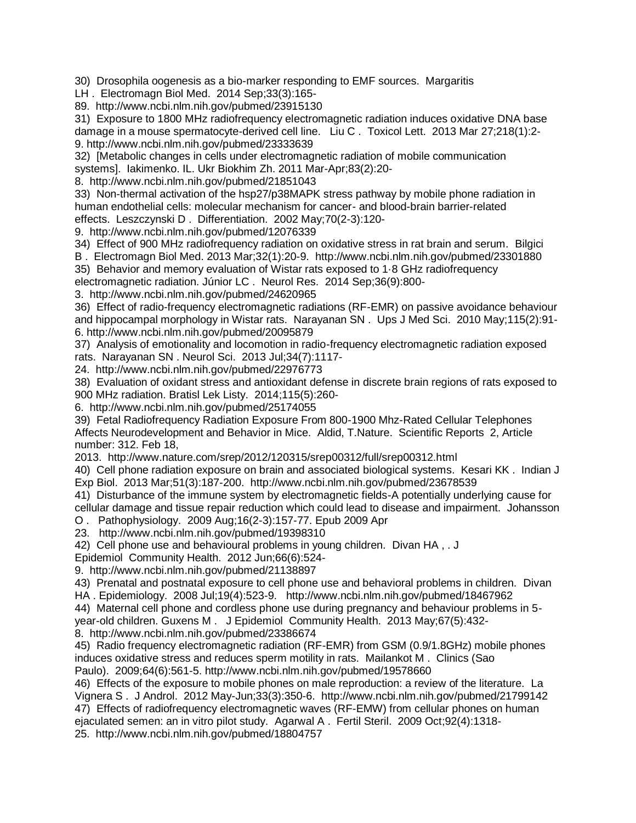30) Drosophila oogenesis as a bio-marker responding to EMF sources. Margaritis

LH . Electromagn Biol Med. 2014 Sep;33(3):165-

89. http://www.ncbi.nlm.nih.gov/pubmed/23915130

31) Exposure to 1800 MHz radiofrequency electromagnetic radiation induces oxidative DNA base damage in a mouse spermatocyte-derived cell line. Liu C . Toxicol Lett. 2013 Mar 27;218(1):2- 9. http://www.ncbi.nlm.nih.gov/pubmed/23333639

32) [Metabolic changes in cells under electromagnetic radiation of mobile communication systems]. Iakimenko. IL. Ukr Biokhim Zh. 2011 Mar-Apr;83(2):20-

8. http://www.ncbi.nlm.nih.gov/pubmed/21851043

33) Non-thermal activation of the hsp27/p38MAPK stress pathway by mobile phone radiation in human endothelial cells: molecular mechanism for cancer- and blood-brain barrier-related effects. Leszczynski D . Differentiation. 2002 May;70(2-3):120-

9. http://www.ncbi.nlm.nih.gov/pubmed/12076339

34) Effect of 900 MHz radiofrequency radiation on oxidative stress in rat brain and serum. Bilgici

B . Electromagn Biol Med. 2013 Mar;32(1):20-9. http://www.ncbi.nlm.nih.gov/pubmed/23301880

35) Behavior and memory evaluation of Wistar rats exposed to 1·8 GHz radiofrequency

electromagnetic radiation. Júnior LC . Neurol Res. 2014 Sep;36(9):800-

3. http://www.ncbi.nlm.nih.gov/pubmed/24620965

36) Effect of radio-frequency electromagnetic radiations (RF-EMR) on passive avoidance behaviour and hippocampal morphology in Wistar rats. Narayanan SN . Ups J Med Sci. 2010 May;115(2):91- 6. http://www.ncbi.nlm.nih.gov/pubmed/20095879

37) Analysis of emotionality and locomotion in radio-frequency electromagnetic radiation exposed rats. Narayanan SN . Neurol Sci. 2013 Jul;34(7):1117-

24. http://www.ncbi.nlm.nih.gov/pubmed/22976773

38) Evaluation of oxidant stress and antioxidant defense in discrete brain regions of rats exposed to 900 MHz radiation. Bratisl Lek Listy. 2014;115(5):260-

6. http://www.ncbi.nlm.nih.gov/pubmed/25174055

39) Fetal Radiofrequency Radiation Exposure From 800-1900 Mhz-Rated Cellular Telephones Affects Neurodevelopment and Behavior in Mice. Aldid, T.Nature. Scientific Reports 2, Article number: 312. Feb 18,

2013. http://www.nature.com/srep/2012/120315/srep00312/full/srep00312.html

40) Cell phone radiation exposure on brain and associated biological systems. Kesari KK . Indian J Exp Biol. 2013 Mar;51(3):187-200. http://www.ncbi.nlm.nih.gov/pubmed/23678539

41) Disturbance of the immune system by electromagnetic fields-A potentially underlying cause for cellular damage and tissue repair reduction which could lead to disease and impairment. Johansson

O . Pathophysiology. 2009 Aug;16(2-3):157-77. Epub 2009 Apr

23. http://www.ncbi.nlm.nih.gov/pubmed/19398310

42) Cell phone use and behavioural problems in young children. Divan HA , . J

Epidemiol Community Health. 2012 Jun;66(6):524-

9. http://www.ncbi.nlm.nih.gov/pubmed/21138897

43) Prenatal and postnatal exposure to cell phone use and behavioral problems in children. Divan HA . Epidemiology. 2008 Jul;19(4):523-9. http://www.ncbi.nlm.nih.gov/pubmed/18467962

44) Maternal cell phone and cordless phone use during pregnancy and behaviour problems in 5 year-old children. Guxens M . J Epidemiol Community Health. 2013 May;67(5):432-

8. http://www.ncbi.nlm.nih.gov/pubmed/23386674

45) Radio frequency electromagnetic radiation (RF-EMR) from GSM (0.9/1.8GHz) mobile phones induces oxidative stress and reduces sperm motility in rats. Mailankot M . Clinics (Sao Paulo). 2009;64(6):561-5. http://www.ncbi.nlm.nih.gov/pubmed/19578660

46) Effects of the exposure to mobile phones on male reproduction: a review of the literature. La Vignera S . J Androl. 2012 May-Jun;33(3):350-6. http://www.ncbi.nlm.nih.gov/pubmed/21799142 47) Effects of radiofrequency electromagnetic waves (RF-EMW) from cellular phones on human ejaculated semen: an in vitro pilot study. Agarwal A . Fertil Steril. 2009 Oct;92(4):1318- 25. http://www.ncbi.nlm.nih.gov/pubmed/18804757